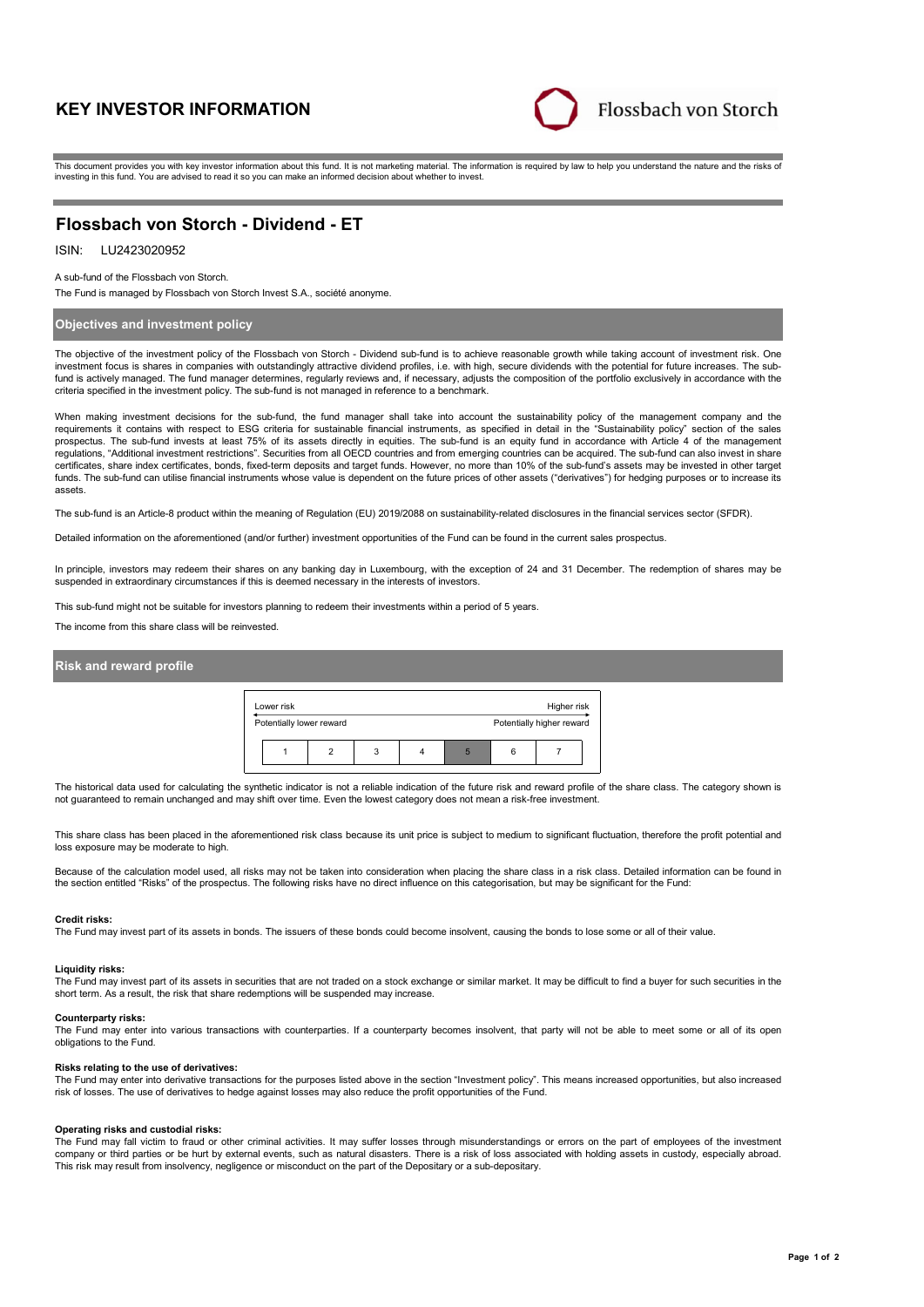# **KEY INVESTOR INFORMATION**



This document provides you with key investor information about this fund. It is not marketing material. The information is required by law to help you understand the nature and the risks of investing in this fund. You are advised to read it so you can make an informed decision about whether to invest.

# **Flossbach von Storch - Dividend - ET**

# ISIN: LU2423020952

A sub-fund of the Flossbach von Storch.

The Fund is managed by Flossbach von Storch Invest S.A., société anonyme.

# **Objectives and investment policy**

The objective of the investment policy of the Flossbach von Storch - Dividend sub-fund is to achieve reasonable growth while taking account of investment risk. One investment focus is shares in companies with outstandingly attractive dividend profiles, i.e. with high, secure dividends with the potential for future increases. The subfund is actively managed. The fund manager determines, regularly reviews and, if necessary, adjusts the composition of the portfolio exclusively in accordance with the criteria specified in the investment policy. The sub-fund is not managed in reference to a benchmark.

When making investment decisions for the sub-fund, the fund manager shall take into account the sustainability policy of the management company and the requirements it contains with respect to ESG criteria for sustainable financial instruments, as specified in detail in the "Sustainability policy" section of the sales<br>prospectus. The sub-fund invests at least 75% of its a regulations, "Additional investment restrictions". Securities from all OECD countries and from emerging countries can be acquired. The sub-fund can also invest in share certificates, share index certificates, bonds, fixed-term deposits and target funds. However, no more than 10% of the sub-fund's assets may be invested in other target funds. The sub-fund can utilise financial instruments whose value is dependent on the future prices of other assets ("derivatives") for hedging purposes or to increase its assets.

The sub-fund is an Article-8 product within the meaning of Regulation (EU) 2019/2088 on sustainability-related disclosures in the financial services sector (SFDR).

Detailed information on the aforementioned (and/or further) investment opportunities of the Fund can be found in the current sales prospectus.

In principle, investors may redeem their shares on any banking day in Luxembourg, with the exception of 24 and 31 December. The redemption of shares may be suspended in extraordinary circumstances if this is deemed necessary in the interests of investors.

This sub-fund might not be suitable for investors planning to redeem their investments within a period of 5 years.

The income from this share class will be reinvested.

### **Risk and reward profile**



The historical data used for calculating the synthetic indicator is not a reliable indication of the future risk and reward profile of the share class. The category shown is not guaranteed to remain unchanged and may shift over time. Even the lowest category does not mean a risk-free investment.

This share class has been placed in the aforementioned risk class because its unit price is subject to medium to significant fluctuation, therefore the profit potential and loss exposure may be moderate to high.

Because of the calculation model used, all risks may not be taken into consideration when placing the share class in a risk class. Detailed information can be found in the section entitled "Risks" of the prospectus. The following risks have no direct influence on this categorisation, but may be significant for the Fund:

#### **Credit risks:**

The Fund may invest part of its assets in bonds. The issuers of these bonds could become insolvent, causing the bonds to lose some or all of their value.

#### **Liquidity risks:**

The Fund may invest part of its assets in securities that are not traded on a stock exchange or similar market. It may be difficult to find a buyer for such securities in the short term. As a result, the risk that share redemptions will be suspended may increase.

#### **Counterparty risks:**

The Fund may enter into various transactions with counterparties. If a counterparty becomes insolvent, that party will not be able to meet some or all of its open obligations to the Fund.

### **Risks relating to the use of derivatives:**

The Fund may enter into derivative transactions for the purposes listed above in the section "Investment policy". This means increased opportunities, but also increased risk of losses. The use of derivatives to hedge against losses may also reduce the profit opportunities of the Fund.

#### **Operating risks and custodial risks:**

The Fund may fall victim to fraud or other criminal activities. It may suffer losses through misunderstandings or errors on the part of employees of the investment company or third parties or be hurt by external events, such as natural disasters. There is a risk of loss associated with holding assets in custody, especially abroad. This risk may result from insolvency, negligence or misconduct on the part of the Depositary or a sub-depositary.